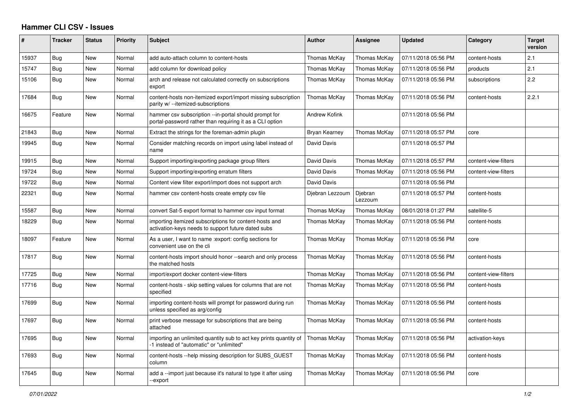## **Hammer CLI CSV - Issues**

| #     | <b>Tracker</b> | <b>Status</b> | <b>Priority</b> | <b>Subject</b>                                                                                                    | <b>Author</b>        | <b>Assignee</b>    | <b>Updated</b>      | Category             | <b>Target</b><br>version |
|-------|----------------|---------------|-----------------|-------------------------------------------------------------------------------------------------------------------|----------------------|--------------------|---------------------|----------------------|--------------------------|
| 15937 | Bug            | New           | Normal          | add auto-attach column to content-hosts                                                                           | Thomas McKay         | Thomas McKay       | 07/11/2018 05:56 PM | content-hosts        | 2.1                      |
| 15747 | Bug            | New           | Normal          | add column for download policy                                                                                    | Thomas McKay         | Thomas McKay       | 07/11/2018 05:56 PM | products             | 2.1                      |
| 15106 | Bug            | New           | Normal          | arch and release not calculated correctly on subscriptions<br>export                                              | Thomas McKay         | Thomas McKay       | 07/11/2018 05:56 PM | subscriptions        | 2.2                      |
| 17684 | Bug            | New           | Normal          | content-hosts non-itemized export/import missing subscription<br>parity w/ --itemized-subscriptions               | Thomas McKay         | Thomas McKay       | 07/11/2018 05:56 PM | content-hosts        | 2.2.1                    |
| 16675 | Feature        | New           | Normal          | hammer csv subscription --in-portal should prompt for<br>portal-password rather than requiring it as a CLI option | <b>Andrew Kofink</b> |                    | 07/11/2018 05:56 PM |                      |                          |
| 21843 | Bug            | New           | Normal          | Extract the strings for the foreman-admin plugin                                                                  | <b>Bryan Kearney</b> | Thomas McKay       | 07/11/2018 05:57 PM | core                 |                          |
| 19945 | Bug            | New           | Normal          | Consider matching records on import using label instead of<br>name                                                | David Davis          |                    | 07/11/2018 05:57 PM |                      |                          |
| 19915 | Bug            | <b>New</b>    | Normal          | Support importing/exporting package group filters                                                                 | David Davis          | Thomas McKay       | 07/11/2018 05:57 PM | content-view-filters |                          |
| 19724 | Bug            | New           | Normal          | Support importing/exporting erratum filters                                                                       | David Davis          | Thomas McKay       | 07/11/2018 05:56 PM | content-view-filters |                          |
| 19722 | Bug            | New           | Normal          | Content view filter export/import does not support arch                                                           | David Davis          |                    | 07/11/2018 05:56 PM |                      |                          |
| 22321 | Bug            | <b>New</b>    | Normal          | hammer csy content-hosts create empty csy file                                                                    | Djebran Lezzoum      | Djebran<br>Lezzoum | 07/11/2018 05:57 PM | content-hosts        |                          |
| 15587 | Bug            | New           | Normal          | convert Sat-5 export format to hammer csy input format                                                            | Thomas McKay         | Thomas McKay       | 08/01/2018 01:27 PM | satellite-5          |                          |
| 18229 | Bug            | <b>New</b>    | Normal          | importing itemized subscriptions for content-hosts and<br>activation-keys needs to support future dated subs      | Thomas McKay         | Thomas McKay       | 07/11/2018 05:56 PM | content-hosts        |                          |
| 18097 | Feature        | New           | Normal          | As a user, I want to name : export: config sections for<br>convenient use on the cli                              | Thomas McKay         | Thomas McKay       | 07/11/2018 05:56 PM | core                 |                          |
| 17817 | <b>Bug</b>     | <b>New</b>    | Normal          | content-hosts import should honor --search and only process<br>the matched hosts                                  | Thomas McKay         | Thomas McKay       | 07/11/2018 05:56 PM | content-hosts        |                          |
| 17725 | Bug            | New           | Normal          | import/export docker content-view-filters                                                                         | Thomas McKay         | Thomas McKay       | 07/11/2018 05:56 PM | content-view-filters |                          |
| 17716 | <b>Bug</b>     | <b>New</b>    | Normal          | content-hosts - skip setting values for columns that are not<br>specified                                         | Thomas McKay         | Thomas McKay       | 07/11/2018 05:56 PM | content-hosts        |                          |
| 17699 | Bug            | New           | Normal          | importing content-hosts will prompt for password during run<br>unless specified as arg/config                     | Thomas McKay         | Thomas McKay       | 07/11/2018 05:56 PM | content-hosts        |                          |
| 17697 | Bug            | <b>New</b>    | Normal          | print verbose message for subscriptions that are being<br>attached                                                | Thomas McKay         | Thomas McKay       | 07/11/2018 05:56 PM | content-hosts        |                          |
| 17695 | <b>Bug</b>     | New           | Normal          | importing an unlimited quantity sub to act key prints quantity of<br>-1 instead of "automatic" or "unlimited"     | Thomas McKay         | Thomas McKay       | 07/11/2018 05:56 PM | activation-keys      |                          |
| 17693 | Bug            | New           | Normal          | content-hosts --help missing description for SUBS_GUEST<br>column                                                 | Thomas McKay         | Thomas McKay       | 07/11/2018 05:56 PM | content-hosts        |                          |
| 17645 | Bug            | New           | Normal          | add a --import just because it's natural to type it after using<br>--export                                       | Thomas McKay         | Thomas McKay       | 07/11/2018 05:56 PM | core                 |                          |